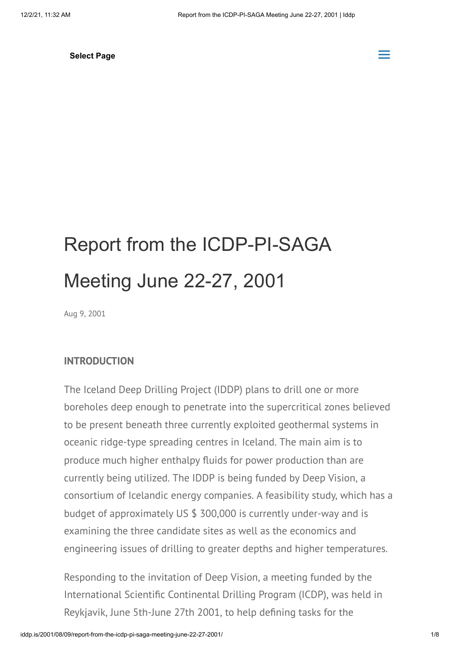# Report from the ICDP-PI-SAGA Meeting June 22-27, 2001

Aug 9, 2001

#### **INTRODUCTION**

The Iceland Deep Drilling Project (IDDP) plans to drill one or more boreholes deep enough to penetrate into the supercritical zones believed to be present beneath three currently exploited geothermal systems in oceanic ridge-type spreading centres in Iceland. The main aim is to produce much higher enthalpy fluids for power production than are currently being utilized. The IDDP is being funded by Deep Vision, a consortium of Icelandic energy companies. A feasibility study, which has a budget of approximately US \$ 300,000 is currently under-way and is examining the three candidate sites as well as the economics and engineering issues of drilling to greater depths and higher temperatures.

Responding to the invitation of Deep Vision, a meeting funded by the International Scientific Continental Drilling Program (ICDP), was held in Reykjavik, June 5th-June 27th 2001, to help defining tasks for the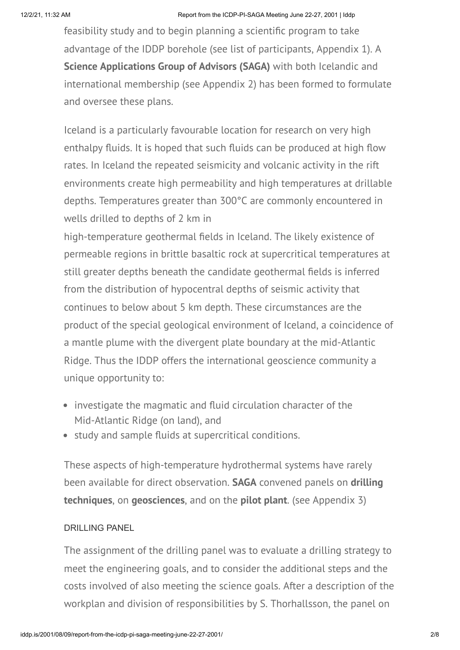feasibility study and to begin planning a scientific program to take advantage of the IDDP borehole (see list of participants, Appendix 1). A **Science Applications Group of Advisors (SAGA)** with both Icelandic and international membership (see Appendix 2) has been formed to formulate and oversee these plans.

Iceland is a particularly favourable location for research on very high enthalpy fluids. It is hoped that such fluids can be produced at high flow rates. In Iceland the repeated seismicity and volcanic activity in the rift environments create high permeability and high temperatures at drillable depths. Temperatures greater than 300°C are commonly encountered in wells drilled to depths of 2 km in

high-temperature geothermal fields in Iceland. The likely existence of permeable regions in brittle basaltic rock at supercritical temperatures at still greater depths beneath the candidate geothermal fields is inferred from the distribution of hypocentral depths of seismic activity that continues to below about 5 km depth. These circumstances are the product of the special geological environment of Iceland, a coincidence of a mantle plume with the divergent plate boundary at the mid-Atlantic Ridge. Thus the IDDP offers the international geoscience community a unique opportunity to:

- investigate the magmatic and fluid circulation character of the Mid-Atlantic Ridge (on land), and
- study and sample fluids at supercritical conditions.

These aspects of high-temperature hydrothermal systems have rarely been available for direct observation. **SAGA** convened panels on **drilling techniques**, on **geosciences**, and on the **pilot plant**. (see Appendix 3)

#### DRILLING PANEL

The assignment of the drilling panel was to evaluate a drilling strategy to meet the engineering goals, and to consider the additional steps and the costs involved of also meeting the science goals. After a description of the workplan and division of responsibilities by S. Thorhallsson, the panel on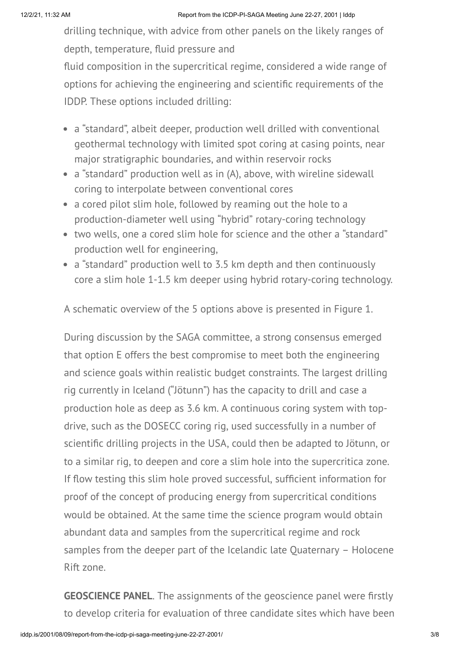drilling technique, with advice from other panels on the likely ranges of depth, temperature, fluid pressure and

fluid composition in the supercritical regime, considered a wide range of options for achieving the engineering and scientific requirements of the IDDP. These options included drilling:

- a "standard", albeit deeper, production well drilled with conventional geothermal technology with limited spot coring at casing points, near major stratigraphic boundaries, and within reservoir rocks
- a "standard" production well as in (A), above, with wireline sidewall coring to interpolate between conventional cores
- a cored pilot slim hole, followed by reaming out the hole to a production-diameter well using "hybrid" rotary-coring technology
- two wells, one a cored slim hole for science and the other a "standard" production well for engineering,
- a "standard" production well to 3.5 km depth and then continuously core a slim hole 1-1.5 km deeper using hybrid rotary-coring technology.

A schematic overview of the 5 options above is presented in Figure 1.

During discussion by the SAGA committee, a strong consensus emerged that option E offers the best compromise to meet both the engineering and science goals within realistic budget constraints. The largest drilling rig currently in Iceland ("Jötunn") has the capacity to drill and case a production hole as deep as 3.6 km. A continuous coring system with topdrive, such as the DOSECC coring rig, used successfully in a number of scientific drilling projects in the USA, could then be adapted to Jötunn, or to a similar rig, to deepen and core a slim hole into the supercritica zone. If flow testing this slim hole proved successful, sufficient information for proof of the concept of producing energy from supercritical conditions would be obtained. At the same time the science program would obtain abundant data and samples from the supercritical regime and rock samples from the deeper part of the Icelandic late Quaternary – Holocene Rift zone.

**GEOSCIENCE PANEL**. The assignments of the geoscience panel were firstly to develop criteria for evaluation of three candidate sites which have been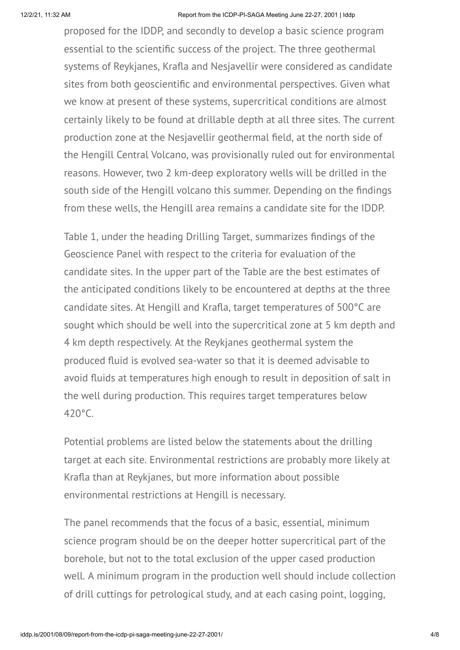proposed for the IDDP, and secondly to develop a basic science program essential to the scientific success of the project. The three geothermal systems of Reykjanes, Krafla and Nesjavellir were considered as candidate sites from both geoscientific and environmental perspectives. Given what we know at present of these systems, supercritical conditions are almost certainly likely to be found at drillable depth at all three sites. The current production zone at the Nesjavellir geothermal field, at the north side of the Hengill Central Volcano, was provisionally ruled out for environmental reasons. However, two 2 km-deep exploratory wells will be drilled in the south side of the Hengill volcano this summer. Depending on the findings from these wells, the Hengill area remains a candidate site for the IDDP.

Table 1, under the heading Drilling Target, summarizes findings of the Geoscience Panel with respect to the criteria for evaluation of the candidate sites. In the upper part of the Table are the best estimates of the anticipated conditions likely to be encountered at depths at the three candidate sites. At Hengill and Krafla, target temperatures of 500°C are sought which should be well into the supercritical zone at 5 km depth and 4 km depth respectively. At the Reykjanes geothermal system the produced fluid is evolved sea-water so that it is deemed advisable to avoid fluids at temperatures high enough to result in deposition of salt in the well during production. This requires target temperatures below 420°C.

Potential problems are listed below the statements about the drilling target at each site. Environmental restrictions are probably more likely at Krafla than at Reykjanes, but more information about possible environmental restrictions at Hengill is necessary.

The panel recommends that the focus of a basic, essential, minimum science program should be on the deeper hotter supercritical part of the borehole, but not to the total exclusion of the upper cased production well. A minimum program in the production well should include collection of drill cuttings for petrological study, and at each casing point, logging,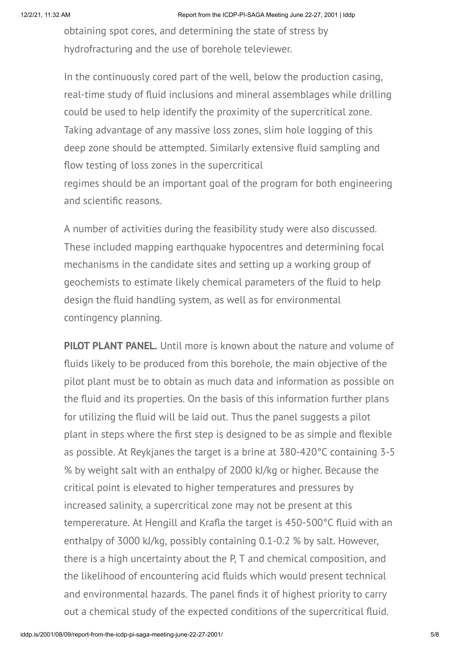obtaining spot cores, and determining the state of stress by hydrofracturing and the use of borehole televiewer.

In the continuously cored part of the well, below the production casing, real-time study of fluid inclusions and mineral assemblages while drilling could be used to help identify the proximity of the supercritical zone. Taking advantage of any massive loss zones, slim hole logging of this deep zone should be attempted. Similarly extensive fluid sampling and flow testing of loss zones in the supercritical regimes should be an important goal of the program for both engineering and scientific reasons.

A number of activities during the feasibility study were also discussed. These included mapping earthquake hypocentres and determining focal mechanisms in the candidate sites and setting up a working group of geochemists to estimate likely chemical parameters of the fluid to help design the fluid handling system, as well as for environmental contingency planning.

**PILOT PLANT PANEL.** Until more is known about the nature and volume of fluids likely to be produced from this borehole, the main objective of the pilot plant must be to obtain as much data and information as possible on the fluid and its properties. On the basis of this information further plans for utilizing the fluid will be laid out. Thus the panel suggests a pilot plant in steps where the first step is designed to be as simple and flexible as possible. At Reykjanes the target is a brine at 380-420°C containing 3-5 % by weight salt with an enthalpy of 2000 kJ/kg or higher. Because the critical point is elevated to higher temperatures and pressures by increased salinity, a supercritical zone may not be present at this tempererature. At Hengill and Krafla the target is 450-500°C fluid with an enthalpy of 3000 kJ/kg, possibly containing 0.1-0.2 % by salt. However, there is a high uncertainty about the P, T and chemical composition, and the likelihood of encountering acid fluids which would present technical and environmental hazards. The panel finds it of highest priority to carry out a chemical study of the expected conditions of the supercritical fluid.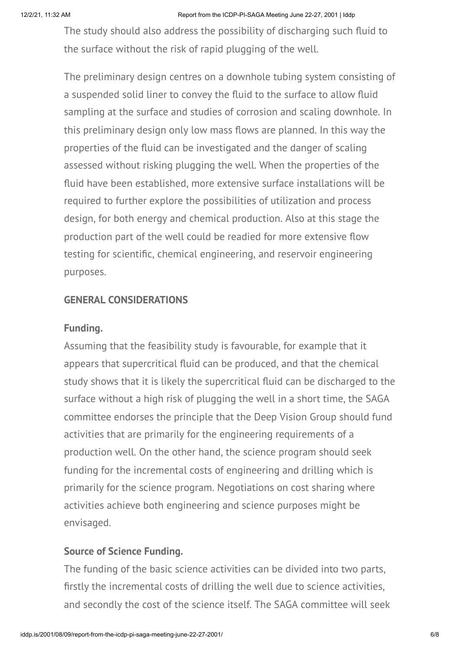The study should also address the possibility of discharging such fluid to the surface without the risk of rapid plugging of the well.

The preliminary design centres on a downhole tubing system consisting of a suspended solid liner to convey the fluid to the surface to allow fluid sampling at the surface and studies of corrosion and scaling downhole. In this preliminary design only low mass flows are planned. In this way the properties of the fluid can be investigated and the danger of scaling assessed without risking plugging the well. When the properties of the fluid have been established, more extensive surface installations will be required to further explore the possibilities of utilization and process design, for both energy and chemical production. Also at this stage the production part of the well could be readied for more extensive flow testing for scientific, chemical engineering, and reservoir engineering purposes.

### **GENERAL CONSIDERATIONS**

#### **Funding.**

Assuming that the feasibility study is favourable, for example that it appears that supercritical fluid can be produced, and that the chemical study shows that it is likely the supercritical fluid can be discharged to the surface without a high risk of plugging the well in a short time, the SAGA committee endorses the principle that the Deep Vision Group should fund activities that are primarily for the engineering requirements of a production well. On the other hand, the science program should seek funding for the incremental costs of engineering and drilling which is primarily for the science program. Negotiations on cost sharing where activities achieve both engineering and science purposes might be envisaged.

## **Source of Science Funding.**

The funding of the basic science activities can be divided into two parts, firstly the incremental costs of drilling the well due to science activities, and secondly the cost of the science itself. The SAGA committee will seek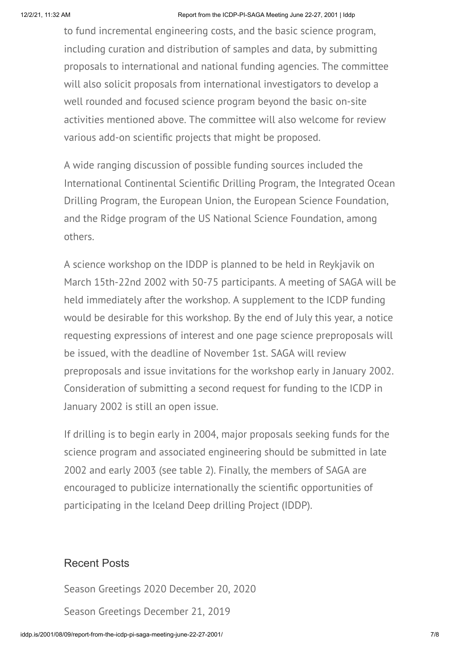to fund incremental engineering costs, and the basic science program, including curation and distribution of samples and data, by submitting proposals to international and national funding agencies. The committee will also solicit proposals from international investigators to develop a well rounded and focused science program beyond the basic on-site activities mentioned above. The committee will also welcome for review various add-on scientific projects that might be proposed.

A wide ranging discussion of possible funding sources included the International Continental Scientific Drilling Program, the Integrated Ocean Drilling Program, the European Union, the European Science Foundation, and the Ridge program of the US National Science Foundation, among others.

A science workshop on the IDDP is planned to be held in Reykjavik on March 15th-22nd 2002 with 50-75 participants. A meeting of SAGA will be held immediately after the workshop. A supplement to the ICDP funding would be desirable for this workshop. By the end of July this year, a notice requesting expressions of interest and one page science preproposals will be issued, with the deadline of November 1st. SAGA will review preproposals and issue invitations for the workshop early in January 2002. Consideration of submitting a second request for funding to the ICDP in January 2002 is still an open issue.

If drilling is to begin early in 2004, major proposals seeking funds for the science program and associated engineering should be submitted in late 2002 and early 2003 (see table 2). Finally, the members of SAGA are encouraged to publicize internationally the scientific opportunities of participating in the Iceland Deep drilling Project (IDDP).

## Recent Posts

[Season Greetings 2020](http://iddp.is/2020/12/20/season-greetings-2020/) December 20, 2020 [Season Greetings](http://iddp.is/2019/12/21/season-greetings-2/) December 21, 2019